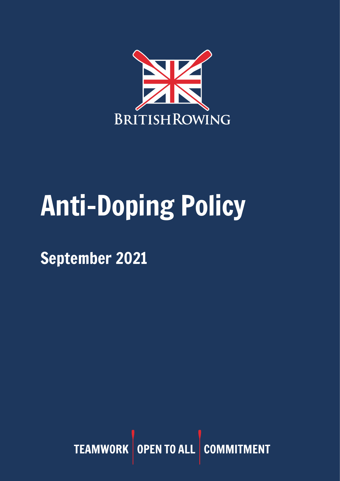

## Anti-Doping Policy

September 2021

TEAMWORK OPEN TO ALL COMMITMENT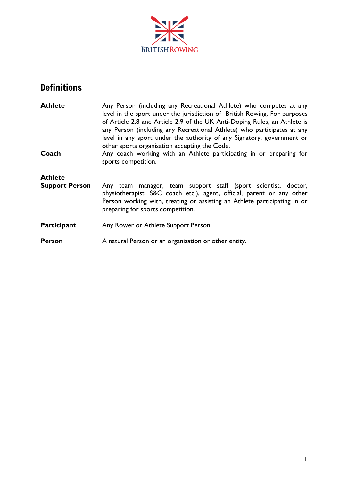

## Definitions

| <b>Athlete</b>        | Any Person (including any Recreational Athlete) who competes at any<br>level in the sport under the jurisdiction of British Rowing. For purposes<br>of Article 2.8 and Article 2.9 of the UK Anti-Doping Rules, an Athlete is<br>any Person (including any Recreational Athlete) who participates at any<br>level in any sport under the authority of any Signatory, government or<br>other sports organisation accepting the Code. |
|-----------------------|-------------------------------------------------------------------------------------------------------------------------------------------------------------------------------------------------------------------------------------------------------------------------------------------------------------------------------------------------------------------------------------------------------------------------------------|
| Coach                 | Any coach working with an Athlete participating in or preparing for<br>sports competition.                                                                                                                                                                                                                                                                                                                                          |
| <b>Athlete</b>        |                                                                                                                                                                                                                                                                                                                                                                                                                                     |
| <b>Support Person</b> | Any team manager, team support staff (sport scientist, doctor,<br>physiotherapist, S&C coach etc.), agent, official, parent or any other<br>Person working with, treating or assisting an Athlete participating in or<br>preparing for sports competition.                                                                                                                                                                          |
| <b>Participant</b>    | Any Rower or Athlete Support Person.                                                                                                                                                                                                                                                                                                                                                                                                |
| Person                | A natural Person or an organisation or other entity.                                                                                                                                                                                                                                                                                                                                                                                |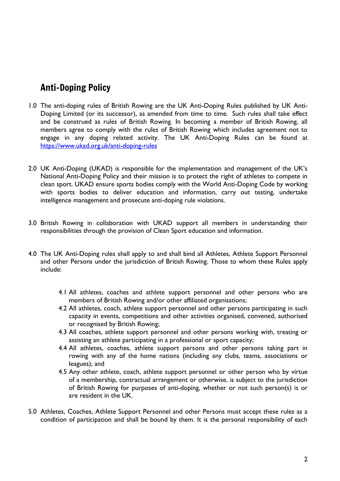## Anti-Doping Policy

- 1.0 The anti-doping rules of British Rowing are the UK Anti-Doping Rules published by UK Anti-Doping Limited (or its successor), as amended from time to time. Such rules shall take effect and be construed as rules of British Rowing. In becoming a member of British Rowing, all members agree to comply with the rules of British Rowing which includes agreement not to engage in any doping related activity. The UK Anti-Doping Rules can be found at <https://www.ukad.org.uk/anti-doping-rules>
- 2.0 UK Anti-Doping (UKAD) is responsible for the implementation and management of the UK's National Anti-Doping Policy and their mission is to protect the right of athletes to compete in clean sport. UKAD ensure sports bodies comply with the World Anti-Doping Code by working with sports bodies to deliver education and information, carry out testing, undertake intelligence management and prosecute anti-doping rule violations.
- 3.0 British Rowing in collaboration with UKAD support all members in understanding their responsibilities through the provision of Clean Sport education and information.
- 4.0 The UK Anti-Doping rules shall apply to and shall bind all Athletes, Athlete Support Personnel and other Persons under the jurisdiction of British Rowing. Those to whom these Rules apply include:
	- 4.1 All athletes, coaches and athlete support personnel and other persons who are members of British Rowing and/or other affiliated organisations;
	- 4.2 All athletes, coach, athlete support personnel and other persons participating in such capacity in events, competitions and other activities organised, convened, authorised or recognised by British Rowing;
	- 4.3 All coaches, athlete support personnel and other persons working with, treating or assisting an athlete participating in a professional or sport capacity;
	- 4.4 All athletes, coaches, athlete support persons and other persons taking part in rowing with any of the home nations (including any clubs, teams, associations or leagues); and
	- 4.5 Any other athlete, coach, athlete support personnel or other person who by virtue of a membership, contractual arrangement or otherwise, is subject to the jurisdiction of British Rowing for purposes of anti-doping, whether or not such person(s) is or are resident in the UK.
- 5.0 Athletes, Coaches, Athlete Support Personnel and other Persons must accept these rules as a condition of participation and shall be bound by them. It is the personal responsibility of each